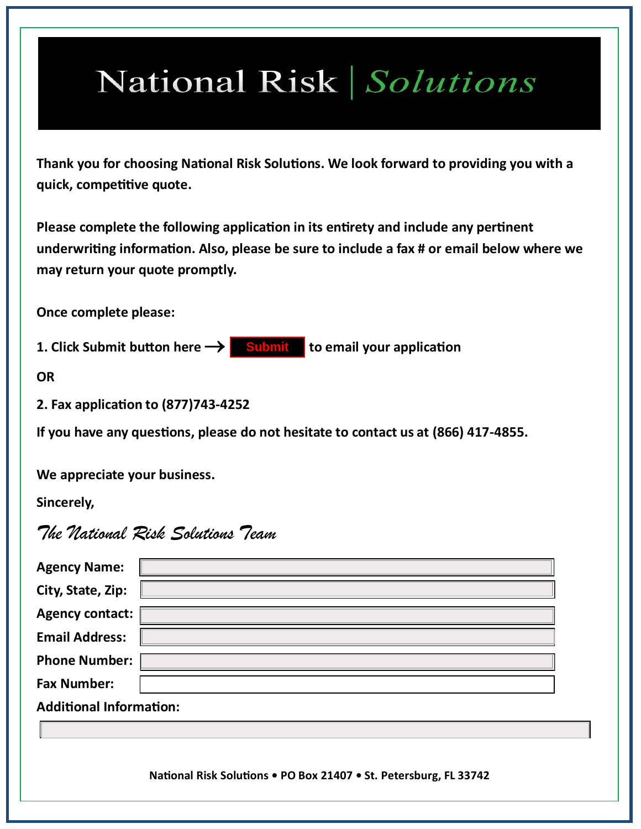## National Risk Solutions

**Thank you for choosing National Risk Solutions. We look forward to providing you with a quick, competitive quote.** 

**Please complete the following application in its entirety and include any pertinent underwriting information. Also, please be sure to include a fax # or email below where we may return your quote promptly.**

**Once complete please:**

**1. Click Submit button here to email your application Submit**

**OR**

**2. Fax application to (877)743-4252**

**If you have any questions, please do not hesitate to contact us at (866) 417-4855.**

**We appreciate your business.**

**Sincerely,**

*The National Risk Solutions Team* 

| <b>Agency Name:</b>            |  |  |  |  |  |  |  |
|--------------------------------|--|--|--|--|--|--|--|
| City, State, Zip:              |  |  |  |  |  |  |  |
| <b>Agency contact:</b>         |  |  |  |  |  |  |  |
| <b>Email Address:</b>          |  |  |  |  |  |  |  |
| <b>Phone Number:</b>           |  |  |  |  |  |  |  |
| <b>Fax Number:</b>             |  |  |  |  |  |  |  |
| <b>Additional Information:</b> |  |  |  |  |  |  |  |
|                                |  |  |  |  |  |  |  |
|                                |  |  |  |  |  |  |  |
|                                |  |  |  |  |  |  |  |

**National Risk Solutions • PO Box 21407 • St. Petersburg, FL 33742**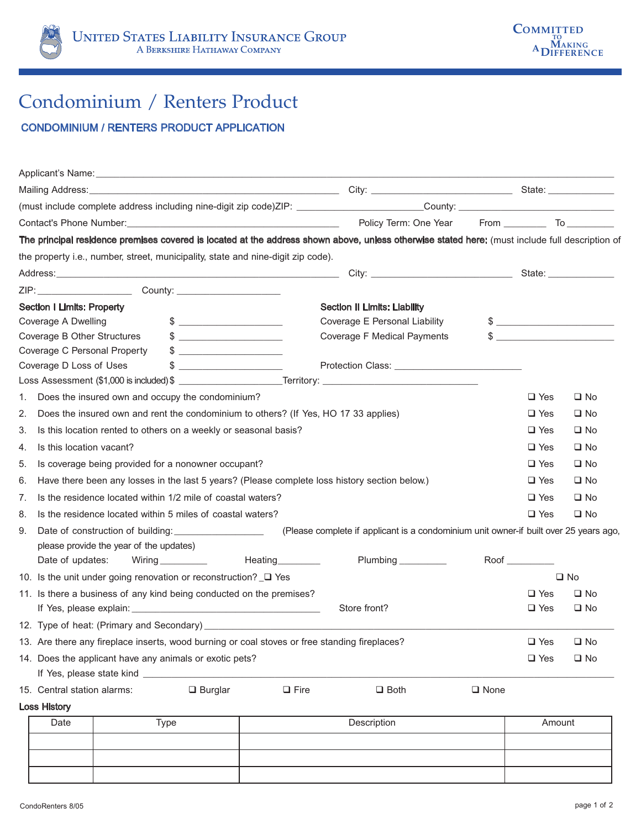

## Condominium / Renters Product

## CONDOMINIUM / RENTERS PRODUCT APPLICATION

|                                                                        |                                                                                               |  |                      |                 | The principal residence premises covered is located at the address shown above, unless otherwise stated here: (must include full description of |                |               |              |
|------------------------------------------------------------------------|-----------------------------------------------------------------------------------------------|--|----------------------|-----------------|-------------------------------------------------------------------------------------------------------------------------------------------------|----------------|---------------|--------------|
|                                                                        | the property i.e., number, street, municipality, state and nine-digit zip code).              |  |                      |                 |                                                                                                                                                 |                |               |              |
|                                                                        |                                                                                               |  |                      |                 |                                                                                                                                                 |                |               |              |
|                                                                        |                                                                                               |  |                      |                 |                                                                                                                                                 |                |               |              |
|                                                                        | <b>Section I Limits: Property</b>                                                             |  |                      |                 | <b>Section II Limits: Liability</b>                                                                                                             |                |               |              |
|                                                                        | Coverage A Dwelling                                                                           |  | $\sim$               |                 | Coverage E Personal Liability                                                                                                                   |                | $\frac{1}{2}$ |              |
|                                                                        | Coverage B Other Structures                                                                   |  |                      |                 | Coverage F Medical Payments                                                                                                                     |                |               |              |
|                                                                        | Coverage C Personal Property                                                                  |  | $\frac{1}{2}$        |                 |                                                                                                                                                 |                |               |              |
|                                                                        | Coverage D Loss of Uses                                                                       |  | $\frac{1}{2}$        |                 |                                                                                                                                                 |                |               |              |
|                                                                        |                                                                                               |  |                      |                 |                                                                                                                                                 |                |               |              |
| 1.                                                                     | Does the insured own and occupy the condominium?                                              |  |                      |                 |                                                                                                                                                 |                | $\square$ Yes | $\square$ No |
| 2.                                                                     | Does the insured own and rent the condominium to others? (If Yes, HO 17 33 applies)           |  |                      |                 |                                                                                                                                                 |                | $\Box$ Yes    | $\square$ No |
| 3.<br>Is this location rented to others on a weekly or seasonal basis? |                                                                                               |  |                      |                 |                                                                                                                                                 | $\Box$ Yes     | $\square$ No  |              |
| 4.                                                                     | Is this location vacant?                                                                      |  |                      |                 |                                                                                                                                                 |                | $\square$ Yes | $\square$ No |
| 5.                                                                     | Is coverage being provided for a nonowner occupant?                                           |  |                      |                 |                                                                                                                                                 |                | $\Box$ Yes    | $\square$ No |
| 6.                                                                     | Have there been any losses in the last 5 years? (Please complete loss history section below.) |  |                      |                 |                                                                                                                                                 |                | $\Box$ Yes    | $\square$ No |
| 7.                                                                     | Is the residence located within 1/2 mile of coastal waters?                                   |  |                      |                 |                                                                                                                                                 | $\square$ Yes  | $\square$ No  |              |
| 8.                                                                     | Is the residence located within 5 miles of coastal waters?                                    |  |                      |                 |                                                                                                                                                 |                | $\Box$ Yes    | $\square$ No |
| 9.                                                                     |                                                                                               |  |                      |                 | (Please complete if applicant is a condominium unit owner-if built over 25 years ago,                                                           |                |               |              |
|                                                                        | please provide the year of the updates)                                                       |  |                      |                 |                                                                                                                                                 |                |               |              |
|                                                                        | Date of updates:                                                                              |  | Wiring _____________ | Heating________ | Plumbing __________                                                                                                                             |                |               |              |
|                                                                        | 10. Is the unit under going renovation or reconstruction? □ Yes                               |  |                      |                 |                                                                                                                                                 | $\square$ No   |               |              |
|                                                                        | 11. Is there a business of any kind being conducted on the premises?                          |  |                      |                 |                                                                                                                                                 |                | $\square$ Yes | $\square$ No |
|                                                                        |                                                                                               |  |                      |                 | Store front?                                                                                                                                    |                | $\Box$ Yes    | $\square$ No |
|                                                                        |                                                                                               |  |                      |                 |                                                                                                                                                 |                |               |              |
|                                                                        | 13. Are there any fireplace inserts, wood burning or coal stoves or free standing fireplaces? |  |                      |                 |                                                                                                                                                 | $\square$ Yes  | $\square$ No  |              |
| 14. Does the applicant have any animals or exotic pets?                |                                                                                               |  |                      |                 | $\square$ Yes                                                                                                                                   | $\square$ No   |               |              |
|                                                                        | If Yes, please state kind _______                                                             |  |                      |                 |                                                                                                                                                 |                |               |              |
|                                                                        | 15. Central station alarms:                                                                   |  | $\Box$ Burglar       | $\Box$ Fire     | $\square$ Both                                                                                                                                  | $\square$ None |               |              |
|                                                                        | <b>Loss History</b>                                                                           |  |                      |                 |                                                                                                                                                 |                |               |              |
|                                                                        | Date                                                                                          |  | <b>Type</b>          |                 | Description                                                                                                                                     |                | Amount        |              |